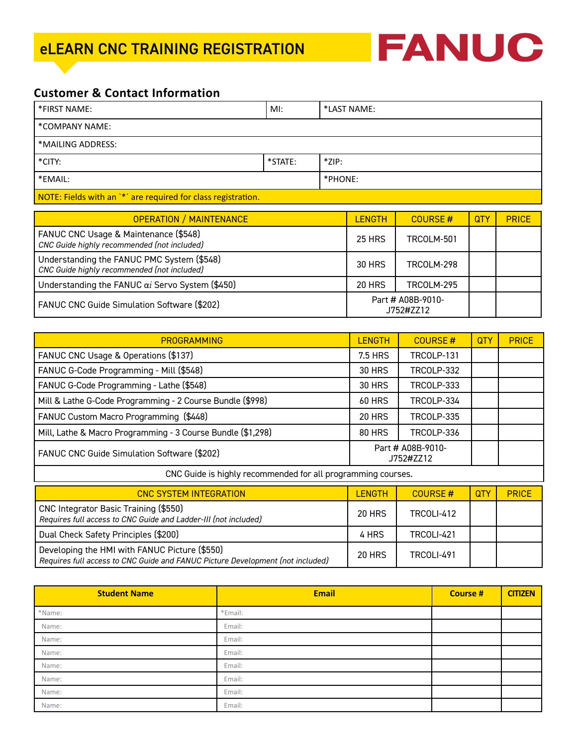

# **Customer & Contact Information**

| *FIRST NAME:                                                  | MI:     | *LAST NAME: |  |  |
|---------------------------------------------------------------|---------|-------------|--|--|
| *COMPANY NAME:                                                |         |             |  |  |
| *MAILING ADDRESS:                                             |         |             |  |  |
| *CITY:                                                        | *STATE: | $*$ ZIP:    |  |  |
| *EMAIL:                                                       |         | *PHONE:     |  |  |
| NOTE: Fields with an `*' are required for class registration. |         |             |  |  |

| <b>OPERATION / MAINTENANCE</b>                                                            | <b>LENGTH</b>                  | COURSE#    | QTY | <b>PRICE</b> |
|-------------------------------------------------------------------------------------------|--------------------------------|------------|-----|--------------|
| FANUC CNC Usage & Maintenance (\$548)<br>CNC Guide highly recommended (not included)      | <b>25 HRS</b>                  | TRCOLM-501 |     |              |
| Understanding the FANUC PMC System (\$548)<br>CNC Guide highly recommended (not included) | <b>30 HRS</b>                  | TRCOLM-298 |     |              |
| Understanding the FANUC ai Servo System (\$450)                                           | <b>20 HRS</b>                  | TRCOLM-295 |     |              |
| FANUC CNC Guide Simulation Software (\$202)                                               | Part # A08B-9010-<br>J752#ZZ12 |            |     |              |

| <b>PROGRAMMING</b>                                          | <b>LENGTH</b>                  | COURSE#           | <b>QTY</b> | <b>PRICE</b> |
|-------------------------------------------------------------|--------------------------------|-------------------|------------|--------------|
| FANUC CNC Usage & Operations (\$137)                        | 7.5 HRS                        | TRCOLP-131        |            |              |
| FANUC G-Code Programming - Mill (\$548)                     | <b>30 HRS</b>                  | TRCOLP-332        |            |              |
| FANUC G-Code Programming - Lathe (\$548)                    | <b>30 HRS</b>                  | TRCOLP-333        |            |              |
| Mill & Lathe G-Code Programming - 2 Course Bundle (\$998)   | <b>60 HRS</b>                  | TRCOLP-334        |            |              |
| FANUC Custom Macro Programming (\$448)                      | <b>20 HRS</b>                  | <b>TRCOLP-335</b> |            |              |
| Mill, Lathe & Macro Programming - 3 Course Bundle (\$1,298) | TRCOLP-336<br><b>80 HRS</b>    |                   |            |              |
| FANUC CNC Guide Simulation Software (\$202)                 | Part # A08B-9010-<br>J752#ZZ12 |                   |            |              |
| CNC Cuide is highly recommended for all programming courses |                                |                   |            |              |

CNC Guide is highly recommended for all programming courses.

| <b>CNC SYSTEM INTEGRATION</b>                                                                                                   | <b>LENGTH</b> | COURSE#           | <b>QTY</b> | <b>PRICE</b> |
|---------------------------------------------------------------------------------------------------------------------------------|---------------|-------------------|------------|--------------|
| CNC Integrator Basic Training (\$550)<br>Requires full access to CNC Guide and Ladder-III (not included)                        | <b>20 HRS</b> | TRCOLI-412        |            |              |
| Dual Check Safety Principles (\$200)                                                                                            | 4 HRS         | TRCOLI-421        |            |              |
| Developing the HMI with FANUC Picture (\$550)<br>Requires full access to CNC Guide and FANUC Picture Development (not included) | <b>20 HRS</b> | <b>TRCOLI-491</b> |            |              |

| <b>Student Name</b> | <b>Email</b> | <b>Course #</b> | <b>CITIZEN</b> |
|---------------------|--------------|-----------------|----------------|
| *Name:              | *Email:      |                 |                |
| Name:               | Email:       |                 |                |
| Name:               | Email:       |                 |                |
| Name:               | Email:       |                 |                |
| Name:               | Email:       |                 |                |
| Name:               | Email:       |                 |                |
| Name:               | Email:       |                 |                |
| Name:               | Email:       |                 |                |